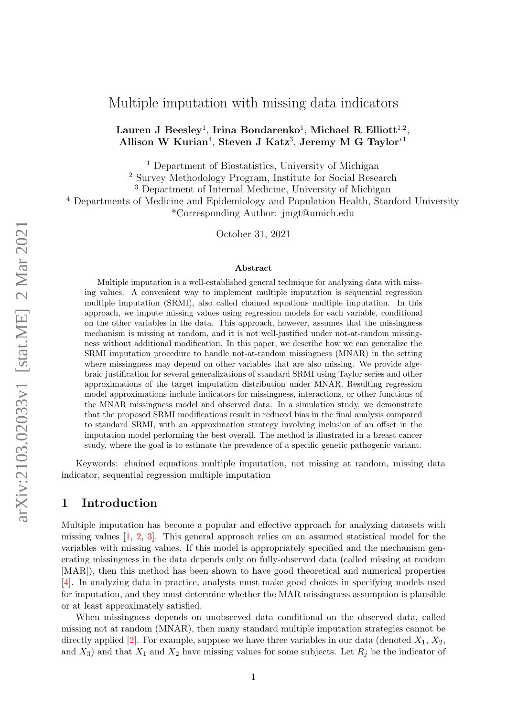# Multiple imputation with missing data indicators

## Lauren J $\,$  Beesley $^1$ , Irina Bondarenko $^1$ , Michael  $\, {\bf R} \,$  Elliott $^{1, 2},$ Allison W Kurian<sup>4</sup>, Steven J Katz<sup>3</sup>, Jeremy M G Taylor<sup>\*1</sup>

<sup>1</sup> Department of Biostatistics, University of Michigan

<sup>2</sup> Survey Methodology Program, Institute for Social Research

<sup>3</sup> Department of Internal Medicine, University of Michigan

<sup>4</sup> Departments of Medicine and Epidemiology and Population Health, Stanford University \*Corresponding Author: jmgt@umich.edu

October 31, 2021

#### Abstract

Multiple imputation is a well-established general technique for analyzing data with missing values. A convenient way to implement multiple imputation is sequential regression multiple imputation (SRMI), also called chained equations multiple imputation. In this approach, we impute missing values using regression models for each variable, conditional on the other variables in the data. This approach, however, assumes that the missingness mechanism is missing at random, and it is not well-justified under not-at-random missingness without additional modification. In this paper, we describe how we can generalize the SRMI imputation procedure to handle not-at-random missingness (MNAR) in the setting where missingness may depend on other variables that are also missing. We provide algebraic justification for several generalizations of standard SRMI using Taylor series and other approximations of the target imputation distribution under MNAR. Resulting regression model approximations include indicators for missingness, interactions, or other functions of the MNAR missingness model and observed data. In a simulation study, we demonstrate that the proposed SRMI modifications result in reduced bias in the final analysis compared to standard SRMI, with an approximation strategy involving inclusion of an offset in the imputation model performing the best overall. The method is illustrated in a breast cancer study, where the goal is to estimate the prevalence of a specific genetic pathogenic variant.

Keywords: chained equations multiple imputation, not missing at random, missing data indicator, sequential regression multiple imputation

## 1 Introduction

Multiple imputation has become a popular and effective approach for analyzing datasets with missing values [\[1,](#page-17-0) [2,](#page-17-1) [3\]](#page-18-0). This general approach relies on an assumed statistical model for the variables with missing values. If this model is appropriately specified and the mechanism generating missingness in the data depends only on fully-observed data (called missing at random [MAR]), then this method has been shown to have good theoretical and numerical properties [\[4\]](#page-18-1). In analyzing data in practice, analysts must make good choices in specifying models used for imputation, and they must determine whether the MAR missingness assumption is plausible or at least approximately satisfied.

When missingness depends on unobserved data conditional on the observed data, called missing not at random (MNAR), then many standard multiple imputation strategies cannot be directly applied [\[2\]](#page-17-1). For example, suppose we have three variables in our data (denoted  $X_1, X_2,$ and  $X_3$ ) and that  $X_1$  and  $X_2$  have missing values for some subjects. Let  $R_j$  be the indicator of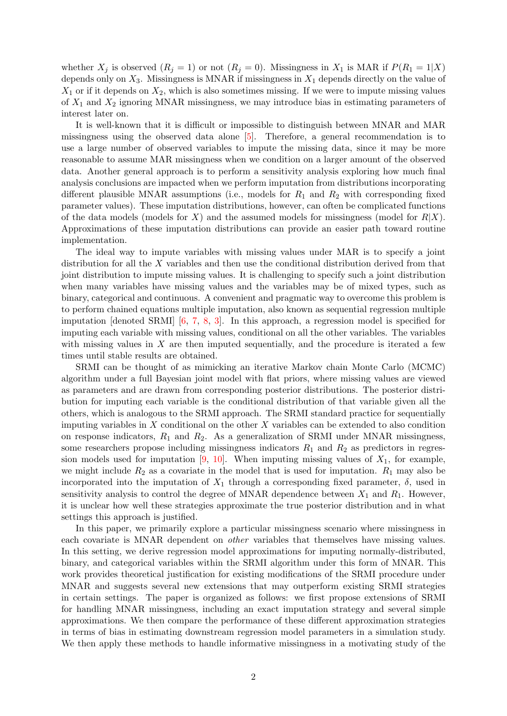whether  $X_j$  is observed  $(R_j = 1)$  or not  $(R_j = 0)$ . Missingness in  $X_1$  is MAR if  $P(R_1 = 1|X)$ depends only on  $X_3$ . Missingness is MNAR if missingness in  $X_1$  depends directly on the value of  $X_1$  or if it depends on  $X_2$ , which is also sometimes missing. If we were to impute missing values of  $X_1$  and  $X_2$  ignoring MNAR missingness, we may introduce bias in estimating parameters of interest later on.

It is well-known that it is difficult or impossible to distinguish between MNAR and MAR missingness using the observed data alone [\[5\]](#page-18-2). Therefore, a general recommendation is to use a large number of observed variables to impute the missing data, since it may be more reasonable to assume MAR missingness when we condition on a larger amount of the observed data. Another general approach is to perform a sensitivity analysis exploring how much final analysis conclusions are impacted when we perform imputation from distributions incorporating different plausible MNAR assumptions (i.e., models for  $R_1$  and  $R_2$  with corresponding fixed parameter values). These imputation distributions, however, can often be complicated functions of the data models (models for X) and the assumed models for missingness (model for  $R|X$ ). Approximations of these imputation distributions can provide an easier path toward routine implementation.

The ideal way to impute variables with missing values under MAR is to specify a joint distribution for all the X variables and then use the conditional distribution derived from that joint distribution to impute missing values. It is challenging to specify such a joint distribution when many variables have missing values and the variables may be of mixed types, such as binary, categorical and continuous. A convenient and pragmatic way to overcome this problem is to perform chained equations multiple imputation, also known as sequential regression multiple imputation [denoted SRMI] [\[6,](#page-18-3) [7,](#page-18-4) [8,](#page-18-5) [3\]](#page-18-0). In this approach, a regression model is specified for imputing each variable with missing values, conditional on all the other variables. The variables with missing values in  $X$  are then imputed sequentially, and the procedure is iterated a few times until stable results are obtained.

SRMI can be thought of as mimicking an iterative Markov chain Monte Carlo (MCMC) algorithm under a full Bayesian joint model with flat priors, where missing values are viewed as parameters and are drawn from corresponding posterior distributions. The posterior distribution for imputing each variable is the conditional distribution of that variable given all the others, which is analogous to the SRMI approach. The SRMI standard practice for sequentially imputing variables in  $X$  conditional on the other  $X$  variables can be extended to also condition on response indicators,  $R_1$  and  $R_2$ . As a generalization of SRMI under MNAR missingness, some researchers propose including missingness indicators  $R_1$  and  $R_2$  as predictors in regres-sion models used for imputation [\[9,](#page-18-6) [10\]](#page-18-7). When imputing missing values of  $X_1$ , for example, we might include  $R_2$  as a covariate in the model that is used for imputation.  $R_1$  may also be incorporated into the imputation of  $X_1$  through a corresponding fixed parameter,  $\delta$ , used in sensitivity analysis to control the degree of MNAR dependence between  $X_1$  and  $R_1$ . However, it is unclear how well these strategies approximate the true posterior distribution and in what settings this approach is justified.

In this paper, we primarily explore a particular missingness scenario where missingness in each covariate is MNAR dependent on *other* variables that themselves have missing values. In this setting, we derive regression model approximations for imputing normally-distributed, binary, and categorical variables within the SRMI algorithm under this form of MNAR. This work provides theoretical justification for existing modifications of the SRMI procedure under MNAR and suggests several new extensions that may outperform existing SRMI strategies in certain settings. The paper is organized as follows: we first propose extensions of SRMI for handling MNAR missingness, including an exact imputation strategy and several simple approximations. We then compare the performance of these different approximation strategies in terms of bias in estimating downstream regression model parameters in a simulation study. We then apply these methods to handle informative missingness in a motivating study of the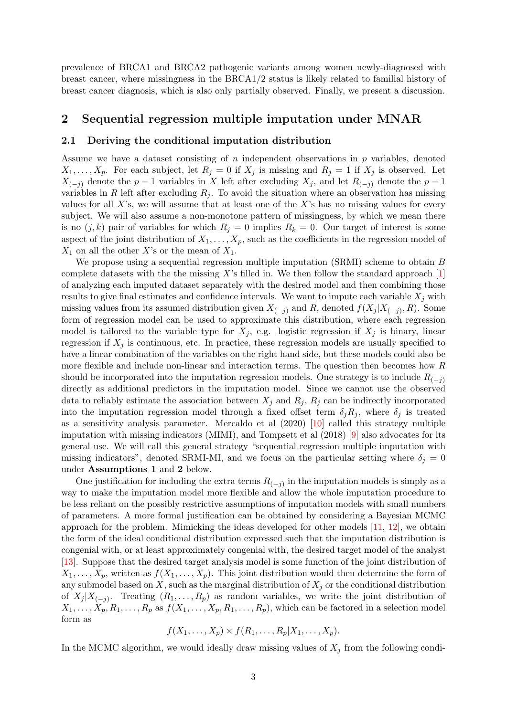prevalence of BRCA1 and BRCA2 pathogenic variants among women newly-diagnosed with breast cancer, where missingness in the BRCA1/2 status is likely related to familial history of breast cancer diagnosis, which is also only partially observed. Finally, we present a discussion.

### 2 Sequential regression multiple imputation under MNAR

#### 2.1 Deriving the conditional imputation distribution

Assume we have a dataset consisting of  $n$  independent observations in  $p$  variables, denoted  $X_1, \ldots, X_p$ . For each subject, let  $R_j = 0$  if  $X_j$  is missing and  $R_j = 1$  if  $X_j$  is observed. Let  $X_{(-i)}$  denote the  $p-1$  variables in X left after excluding  $X_j$ , and let  $R_{(-j)}$  denote the  $p-1$ variables in R left after excluding  $R_i$ . To avoid the situation where an observation has missing values for all X's, we will assume that at least one of the X's has no missing values for every subject. We will also assume a non-monotone pattern of missingness, by which we mean there is no  $(j, k)$  pair of variables for which  $R_j = 0$  implies  $R_k = 0$ . Our target of interest is some aspect of the joint distribution of  $X_1, \ldots, X_p$ , such as the coefficients in the regression model of  $X_1$  on all the other X's or the mean of  $X_1$ .

We propose using a sequential regression multiple imputation (SRMI) scheme to obtain B complete datasets with the the missing  $X$ 's filled in. We then follow the standard approach  $[1]$ of analyzing each imputed dataset separately with the desired model and then combining those results to give final estimates and confidence intervals. We want to impute each variable  $X_i$  with missing values from its assumed distribution given  $X_{(-j)}$  and R, denoted  $f(X_j | X_{(-j)}, R)$ . Some form of regression model can be used to approximate this distribution, where each regression model is tailored to the variable type for  $X_j$ , e.g. logistic regression if  $X_j$  is binary, linear regression if  $X_i$  is continuous, etc. In practice, these regression models are usually specified to have a linear combination of the variables on the right hand side, but these models could also be more flexible and include non-linear and interaction terms. The question then becomes how R should be incorporated into the imputation regression models. One strategy is to include  $R_{(-i)}$ directly as additional predictors in the imputation model. Since we cannot use the observed data to reliably estimate the association between  $X_j$  and  $R_j$ ,  $R_j$  can be indirectly incorporated into the imputation regression model through a fixed offset term  $\delta_j R_j$ , where  $\delta_j$  is treated as a sensitivity analysis parameter. Mercaldo et al (2020) [\[10\]](#page-18-7) called this strategy multiple imputation with missing indicators (MIMI), and Tompsett et al (2018) [\[9\]](#page-18-6) also advocates for its general use. We will call this general strategy "sequential regression multiple imputation with missing indicators", denoted SRMI-MI, and we focus on the particular setting where  $\delta_j = 0$ under Assumptions 1 and 2 below.

One justification for including the extra terms  $R_{(-j)}$  in the imputation models is simply as a way to make the imputation model more flexible and allow the whole imputation procedure to be less reliant on the possibly restrictive assumptions of imputation models with small numbers of parameters. A more formal justification can be obtained by considering a Bayesian MCMC approach for the problem. Mimicking the ideas developed for other models [\[11,](#page-18-8) [12\]](#page-18-9), we obtain the form of the ideal conditional distribution expressed such that the imputation distribution is congenial with, or at least approximately congenial with, the desired target model of the analyst [\[13\]](#page-18-10). Suppose that the desired target analysis model is some function of the joint distribution of  $X_1, \ldots, X_p$ , written as  $f(X_1, \ldots, X_p)$ . This joint distribution would then determine the form of any submodel based on  $X$ , such as the marginal distribution of  $X_i$  or the conditional distribution of  $X_j | X_{(-j)}$ . Treating  $(R_1, \ldots, R_p)$  as random variables, we write the joint distribution of  $X_1, \ldots, X_p, R_1, \ldots, R_p$  as  $f(X_1, \ldots, X_p, R_1, \ldots, R_p)$ , which can be factored in a selection model form as

$$
f(X_1,\ldots,X_p)\times f(R_1,\ldots,R_p|X_1,\ldots,X_p).
$$

In the MCMC algorithm, we would ideally draw missing values of  $X_j$  from the following condi-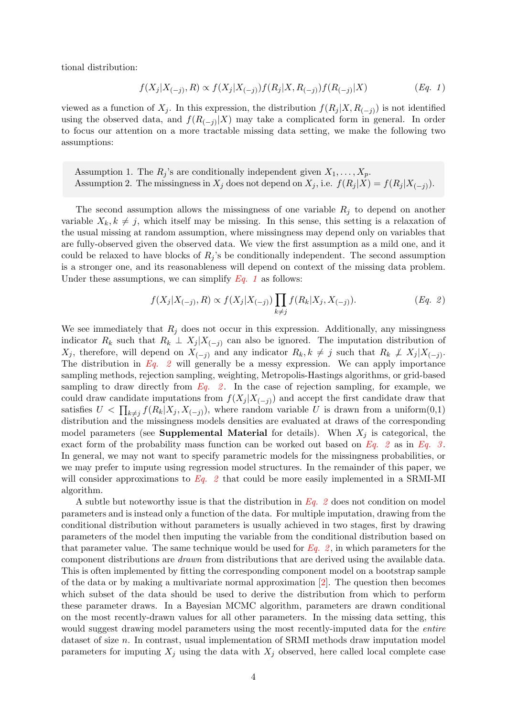tional distribution:

<span id="page-3-0"></span>
$$
f(X_j|X_{(-j)},R) \propto f(X_j|X_{(-j)})f(R_j|X,R_{(-j)})f(R_{(-j)}|X) \qquad (Eq. 1)
$$

viewed as a function of  $X_j$ . In this expression, the distribution  $f(R_j | X, R_{(-j)})$  is not identified using the observed data, and  $f(R_{(-j)}|X)$  may take a complicated form in general. In order to focus our attention on a more tractable missing data setting, we make the following two assumptions:

Assumption 1. The  $R_j$ 's are conditionally independent given  $X_1, \ldots, X_p$ . Assumption 2. The missingness in  $X_j$  does not depend on  $X_j$ , i.e.  $f(R_j | X) = f(R_j | X_{(-j)})$ .

The second assumption allows the missingness of one variable  $R_j$  to depend on another variable  $X_k, k \neq j$ , which itself may be missing. In this sense, this setting is a relaxation of the usual missing at random assumption, where missingness may depend only on variables that are fully-observed given the observed data. We view the first assumption as a mild one, and it could be relaxed to have blocks of  $R_i$ 's be conditionally independent. The second assumption is a stronger one, and its reasonableness will depend on context of the missing data problem. Under these assumptions, we can simplify  $Eq. 1$  as follows:

<span id="page-3-1"></span>
$$
f(X_j|X_{(-j)},R) \propto f(X_j|X_{(-j)}) \prod_{k \neq j} f(R_k|X_j,X_{(-j)}).
$$
 (Eq. 2)

We see immediately that  $R_j$  does not occur in this expression. Additionally, any missingness indicator  $R_k$  such that  $R_k \perp X_j | X_{(-j)}$  can also be ignored. The imputation distribution of  $X_j$ , therefore, will depend on  $X_{(-j)}$  and any indicator  $R_k, k \neq j$  such that  $R_k \not\perp X_j | X_{(-j)}$ . The distribution in  $Eq. 2$  will generally be a messy expression. We can apply importance sampling methods, rejection sampling, weighting, Metropolis-Hastings algorithms, or grid-based sampling to draw directly from  $Eq. 2$ . In the case of rejection sampling, for example, we could draw candidate imputations from  $f(X_j | X_{(-j)})$  and accept the first candidate draw that satisfies  $U \leq \prod_{k \neq j} f(R_k | X_j, X_{(-j)})$ , where random variable U is drawn from a uniform $(0,1)$ distribution and the missingness models densities are evaluated at draws of the corresponding model parameters (see **Supplemental Material** for details). When  $X_i$  is categorical, the exact form of the probability mass function can be worked out based on  $Eq. 2$  as in  $Eq. 3$ . In general, we may not want to specify parametric models for the missingness probabilities, or we may prefer to impute using regression model structures. In the remainder of this paper, we will consider approximations to  $Eq. 2$  that could be more easily implemented in a SRMI-MI algorithm.

A subtle but noteworthy issue is that the distribution in  $Eq. 2$  does not condition on model parameters and is instead only a function of the data. For multiple imputation, drawing from the conditional distribution without parameters is usually achieved in two stages, first by drawing parameters of the model then imputing the variable from the conditional distribution based on that parameter value. The same technique would be used for  $Eq. 2$ , in which parameters for the component distributions are drawn from distributions that are derived using the available data. This is often implemented by fitting the corresponding component model on a bootstrap sample of the data or by making a multivariate normal approximation [\[2\]](#page-17-1). The question then becomes which subset of the data should be used to derive the distribution from which to perform these parameter draws. In a Bayesian MCMC algorithm, parameters are drawn conditional on the most recently-drawn values for all other parameters. In the missing data setting, this would suggest drawing model parameters using the most recently-imputed data for the entire dataset of size n. In contrast, usual implementation of SRMI methods draw imputation model parameters for imputing  $X_j$  using the data with  $X_j$  observed, here called local complete case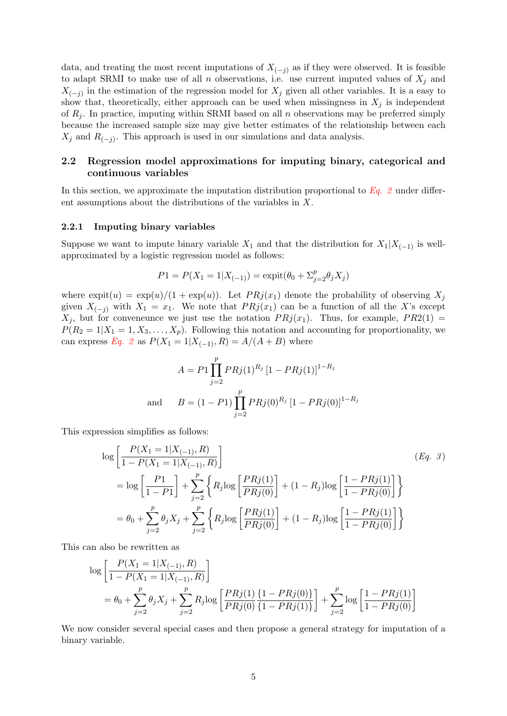data, and treating the most recent imputations of  $X_{(-j)}$  as if they were observed. It is feasible to adapt SRMI to make use of all n observations, i.e. use current imputed values of  $X_i$  and  $X_{(-j)}$  in the estimation of the regression model for  $X_j$  given all other variables. It is a easy to show that, theoretically, either approach can be used when missingness in  $X_j$  is independent of  $R_i$ . In practice, imputing within SRMI based on all n observations may be preferred simply because the increased sample size may give better estimates of the relationship between each  $X_j$  and  $R_{(-j)}$ . This approach is used in our simulations and data analysis.

### 2.2 Regression model approximations for imputing binary, categorical and continuous variables

In this section, we approximate the imputation distribution proportional to  $Eq. 2$  under different assumptions about the distributions of the variables in X.

#### 2.2.1 Imputing binary variables

Suppose we want to impute binary variable  $X_1$  and that the distribution for  $X_1|X_{(-1)}$  is wellapproximated by a logistic regression model as follows:

$$
P1 = P(X_1 = 1 | X_{(-1)}) = \text{expit}(\theta_0 + \Sigma_{j=2}^p \theta_j X_j)
$$

where  $\exp(t(u) = \exp(u)/(1 + \exp(u))$ . Let  $PRj(x_1)$  denote the probability of observing  $X_j$ given  $X_{(-j)}$  with  $X_1 = x_1$ . We note that  $PRj(x_1)$  can be a function of all the X's except  $X_j$ , but for conveneunce we just use the notation  $PRj(x_1)$ . Thus, for example,  $PR2(1)$  $P(R_2 = 1 | X_1 = 1, X_3, \ldots, X_p)$ . Following this notation and accounting for proportionality, we can express [Eq. 2](#page-3-1) as  $P(X_1 = 1 | X_{(-1)}, R) = A/(A + B)$  where

<span id="page-4-0"></span>
$$
A = P1 \prod_{j=2}^{p} PRj(1)^{R_j} [1 - PRj(1)]^{1 - R_j}
$$
  
and 
$$
B = (1 - P1) \prod_{j=2}^{p} PRj(0)^{R_j} [1 - PRj(0)]^{1 - R_j}
$$

This expression simplifies as follows:

$$
\log \left[ \frac{P(X_1 = 1 | X_{(-1)}, R)}{1 - P(X_1 = 1 | X_{(-1)}, R)} \right]
$$
\n
$$
= \log \left[ \frac{P1}{1 - P1} \right] + \sum_{j=2}^{p} \left\{ R_j \log \left[ \frac{PRj(1)}{PRj(0)} \right] + (1 - R_j) \log \left[ \frac{1 - PRj(1)}{1 - PRj(0)} \right] \right\}
$$
\n
$$
= \theta_0 + \sum_{j=2}^{p} \theta_j X_j + \sum_{j=2}^{p} \left\{ R_j \log \left[ \frac{PRj(1)}{PRj(0)} \right] + (1 - R_j) \log \left[ \frac{1 - PRj(1)}{1 - PRj(0)} \right] \right\}
$$
\n(Bq. 3)

This can also be rewritten as

$$
\log \left[ \frac{P(X_1 = 1 | X_{(-1)}, R)}{1 - P(X_1 = 1 | X_{(-1)}, R)} \right]
$$
  
=  $\theta_0 + \sum_{j=2}^p \theta_j X_j + \sum_{j=2}^p R_j \log \left[ \frac{PR_j(1) \{1 - PR_j(0)\}}{PR_j(0) \{1 - PR_j(1)\}} \right] + \sum_{j=2}^p \log \left[ \frac{1 - PR_j(1)}{1 - PR_j(0)} \right]$ 

We now consider several special cases and then propose a general strategy for imputation of a binary variable.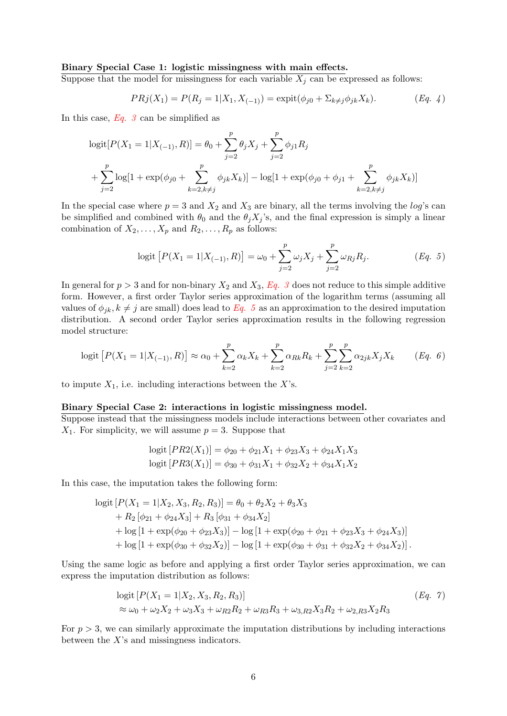### Binary Special Case 1: logistic missingness with main effects.

Suppose that the model for missingness for each variable  $X_j$  can be expressed as follows:

$$
PRj(X_1) = P(R_j = 1 | X_1, X_{(-1)}) = \expit(\phi_{j0} + \Sigma_{k \neq j} \phi_{jk} X_k).
$$
 (Eq. 4)

In this case,  $Eq. 3$  can be simplified as

$$
logit[P(X1 = 1|X(-1), R)] = \theta_0 + \sum_{j=2}^{p} \theta_j X_j + \sum_{j=2}^{p} \phi_{j1} R_j
$$
  
+ 
$$
\sum_{j=2}^{p} log[1 + exp(\phi_{j0} + \sum_{k=2, k\neq j}^{p} \phi_{jk} X_k)] - log[1 + exp(\phi_{j0} + \phi_{j1} + \sum_{k=2, k\neq j}^{p} \phi_{jk} X_k)]
$$

In the special case where  $p = 3$  and  $X_2$  and  $X_3$  are binary, all the terms involving the log's can be simplified and combined with  $\theta_0$  and the  $\theta_j X_j$ 's, and the final expression is simply a linear combination of  $X_2, \ldots, X_p$  and  $R_2, \ldots, R_p$  as follows:

<span id="page-5-0"></span>
$$
logit [P(X1 = 1 | X(-1), R)] = \omega_0 + \sum_{j=2}^{p} \omega_j X_j + \sum_{j=2}^{p} \omega_{Rj} R_j.
$$
 (Eq. 5)

In general for  $p > 3$  and for non-binary  $X_2$  and  $X_3$ ,  $Eq. 3$  does not reduce to this simple additive form. However, a first order Taylor series approximation of the logarithm terms (assuming all values of  $\phi_{jk}$ ,  $k \neq j$  are small) does lead to [Eq. 5](#page-5-0) as an approximation to the desired imputation distribution. A second order Taylor series approximation results in the following regression model structure:

$$
logit [P(X_1 = 1 | X_{(-1)}, R)] \approx \alpha_0 + \sum_{k=2}^{p} \alpha_k X_k + \sum_{k=2}^{p} \alpha_{Rk} R_k + \sum_{j=2}^{p} \sum_{k=2}^{p} \alpha_{2jk} X_j X_k
$$
 (Eq. 6)

to impute  $X_1$ , i.e. including interactions between the X's.

#### Binary Special Case 2: interactions in logistic missingness model.

Suppose instead that the missingness models include interactions between other covariates and  $X_1$ . For simplicity, we will assume  $p = 3$ . Suppose that

<span id="page-5-2"></span>
$$
logit [PR2(X1)] = \phi_{20} + \phi_{21}X_1 + \phi_{23}X_3 + \phi_{24}X_1X_3
$$
  

$$
logit [PR3(X1)] = \phi_{30} + \phi_{31}X_1 + \phi_{32}X_2 + \phi_{34}X_1X_2
$$

In this case, the imputation takes the following form:

$$
\begin{aligned}\n\text{logit}\left[P(X_1=1|X_2,X_3,R_2,R_3)\right] &= \theta_0 + \theta_2 X_2 + \theta_3 X_3 \\
&+ R_2\left[\phi_{21} + \phi_{24} X_3\right] + R_3\left[\phi_{31} + \phi_{34} X_2\right] \\
&+ \log\left[1 + \exp(\phi_{20} + \phi_{23} X_3)\right] - \log\left[1 + \exp(\phi_{20} + \phi_{21} + \phi_{23} X_3 + \phi_{24} X_3)\right] \\
&+ \log\left[1 + \exp(\phi_{30} + \phi_{32} X_2)\right] - \log\left[1 + \exp(\phi_{30} + \phi_{31} + \phi_{32} X_2 + \phi_{34} X_2)\right].\n\end{aligned}
$$

Using the same logic as before and applying a first order Taylor series approximation, we can express the imputation distribution as follows:

<span id="page-5-1"></span>
$$
logit [P(X1 = 1 | X2, X3, R2, R3)]
$$
\n
$$
\approx \omega_0 + \omega_2 X_2 + \omega_3 X_3 + \omega_{R2} R_2 + \omega_{R3} R_3 + \omega_{3,R2} X_3 R_2 + \omega_{2,R3} X_2 R_3
$$
\n(Eq. 7)

For  $p > 3$ , we can similarly approximate the imputation distributions by including interactions between the X's and missingness indicators.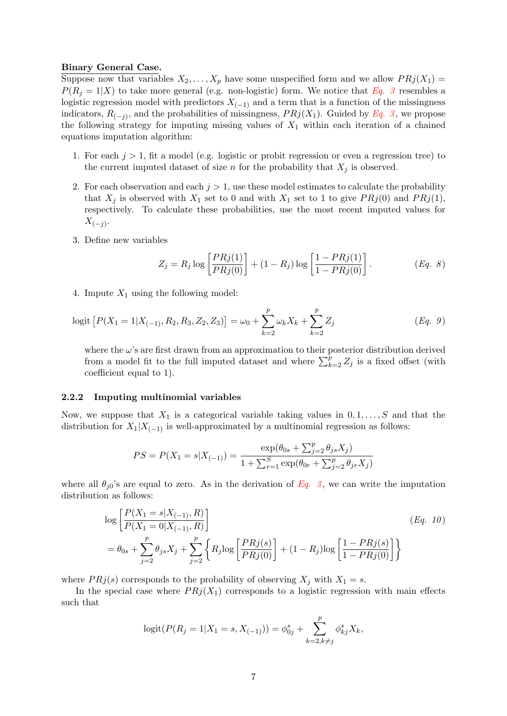#### Binary General Case.

Suppose now that variables  $X_2, \ldots, X_p$  have some unspecified form and we allow  $PRj(X_1) =$  $P(R_i = 1|X)$  to take more general (e.g. non-logistic) form. We notice that [Eq. 3](#page-4-0) resembles a logistic regression model with predictors  $X_{(-1)}$  and a term that is a function of the missingness indicators,  $R_{(-j)}$ , and the probabilities of missingness,  $PRj(X_1)$ . Guided by [Eq. 3](#page-4-0), we propose the following strategy for imputing missing values of  $X_1$  within each iteration of a chained equations imputation algorithm:

- 1. For each  $j > 1$ , fit a model (e.g. logistic or probit regression or even a regression tree) to the current imputed dataset of size n for the probability that  $X_j$  is observed.
- 2. For each observation and each  $j > 1$ , use these model estimates to calculate the probability that  $X_j$  is observed with  $X_1$  set to 0 and with  $X_1$  set to 1 to give  $PRj(0)$  and  $PRj(1)$ , respectively. To calculate these probabilities, use the most recent imputed values for  $X_{(-j)}$ .
- 3. Define new variables

<span id="page-6-0"></span>
$$
Z_j = R_j \log \left[ \frac{PR_j(1)}{PR_j(0)} \right] + (1 - R_j) \log \left[ \frac{1 - PR_j(1)}{1 - PR_j(0)} \right].
$$
 (Eq. 8)

4. Impute  $X_1$  using the following model:

$$
logit [P(X1 = 1 | X(-1), R2, R3, Z2, Z3)] = \omega_0 + \sum_{k=2}^{p} \omega_k X_k + \sum_{k=2}^{p} Z_j
$$
 (Eq. 9)

where the  $\omega$ 's are first drawn from an approximation to their posterior distribution derived from a model fit to the full imputed dataset and where  $\sum_{k=2}^{p} Z_j$  is a fixed offset (with coefficient equal to 1).

#### 2.2.2 Imputing multinomial variables

Now, we suppose that  $X_1$  is a categorical variable taking values in  $0, 1, \ldots, S$  and that the distribution for  $X_1|X_{(-1)}$  is well-approximated by a multinomial regression as follows:

$$
PS = P(X_1 = s | X_{(-1)}) = \frac{\exp(\theta_{0s} + \sum_{j=2}^p \theta_{js} X_j)}{1 + \sum_{r=1}^S \exp(\theta_{0r} + \sum_{j=2}^p \theta_{jr} X_j)}
$$

where all  $\theta_{j0}$ 's are equal to zero. As in the derivation of [Eq. 3](#page-4-0), we can write the imputation distribution as follows:

$$
\log \left[ \frac{P(X_1 = s | X_{(-1)}, R)}{P(X_1 = 0 | X_{(-1)}, R)} \right]
$$
\n
$$
= \theta_{0s} + \sum_{j=2}^{p} \theta_{js} X_j + \sum_{j=2}^{p} \left\{ R_j \log \left[ \frac{PR_j(s)}{PR_j(0)} \right] + (1 - R_j) \log \left[ \frac{1 - PR_j(s)}{1 - PR_j(0)} \right] \right\}
$$
\n(Eq. 10)

where  $PRj(s)$  corresponds to the probability of observing  $X_j$  with  $X_1 = s$ .

In the special case where  $PRj(X_1)$  corresponds to a logistic regression with main effects such that

$$
logit(P(R_j = 1 | X_1 = s, X_{(-1)})) = \phi_{0j}^s + \sum_{k=2, k \neq j}^{p} \phi_{kj}^s X_k,
$$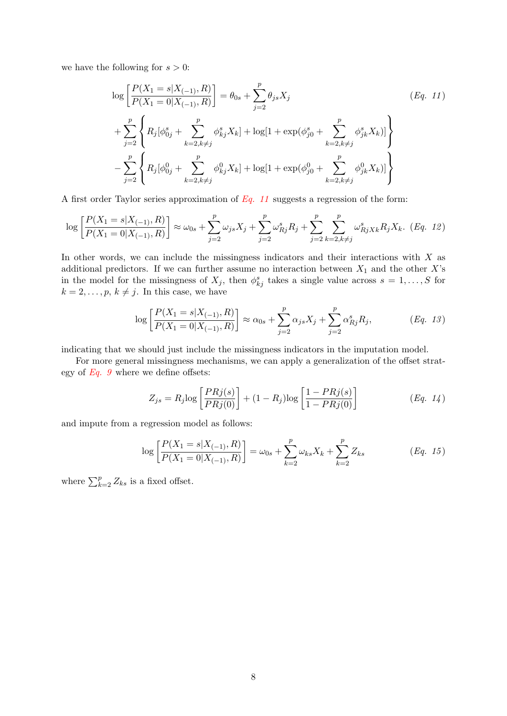we have the following for  $s > 0$ :

<span id="page-7-0"></span>
$$
\log \left[ \frac{P(X_1 = s | X_{(-1)}, R)}{P(X_1 = 0 | X_{(-1)}, R)} \right] = \theta_{0s} + \sum_{j=2}^p \theta_{js} X_j
$$
\n
$$
+ \sum_{j=2}^p \left\{ R_j [\phi_{0j}^s + \sum_{k=2, k \neq j}^p \phi_{kj}^s X_k] + \log[1 + \exp(\phi_{j0}^s + \sum_{k=2, k \neq j}^p \phi_{jk}^s X_k)] \right\}
$$
\n
$$
- \sum_{j=2}^p \left\{ R_j [\phi_{0j}^0 + \sum_{k=2, k \neq j}^p \phi_{kj}^0 X_k] + \log[1 + \exp(\phi_{j0}^0 + \sum_{k=2, k \neq j}^p \phi_{jk}^0 X_k)] \right\}
$$
\n
$$
(Eq. 11)
$$

A first order Taylor series approximation of  $Eq. 11$  suggests a regression of the form:

$$
\log\left[\frac{P(X_1=s|X_{(-1)},R)}{P(X_1=0|X_{(-1)},R)}\right] \approx \omega_{0s} + \sum_{j=2}^p \omega_{js} X_j + \sum_{j=2}^p \omega_{Rj}^s R_j + \sum_{j=2}^p \sum_{k=2,k\neq j}^p \omega_{RjXk}^s R_j X_k. \tag{Eq. 12}
$$

In other words, we can include the missingness indicators and their interactions with X as additional predictors. If we can further assume no interaction between  $X_1$  and the other X's in the model for the missingness of  $X_j$ , then  $\phi_{kj}^s$  takes a single value across  $s = 1, \ldots, S$  for  $k = 2, \ldots, p, k \neq j$ . In this case, we have

$$
\log \left[ \frac{P(X_1 = s | X_{(-1)}, R)}{P(X_1 = 0 | X_{(-1)}, R)} \right] \approx \alpha_{0s} + \sum_{j=2}^p \alpha_{js} X_j + \sum_{j=2}^p \alpha_{Rj}^s R_j,
$$
 (Eq. 13)

indicating that we should just include the missingness indicators in the imputation model.

For more general missingness mechanisms, we can apply a generalization of the offset strategy of  $Eq. 9$  where we define offsets:

$$
Z_{js} = R_j \log \left[ \frac{PR_j(s)}{PR_j(0)} \right] + (1 - R_j) \log \left[ \frac{1 - PR_j(s)}{1 - PR_j(0)} \right] \tag{Eq. 14}
$$

and impute from a regression model as follows:

$$
\log\left[\frac{P(X_1=s|X_{(-1)},R)}{P(X_1=0|X_{(-1)},R)}\right]=\omega_{0s}+\sum_{k=2}^p\omega_{ks}X_k+\sum_{k=2}^pZ_{ks}
$$
 (Eq. 15)

where  $\sum_{k=2}^{p} Z_{ks}$  is a fixed offset.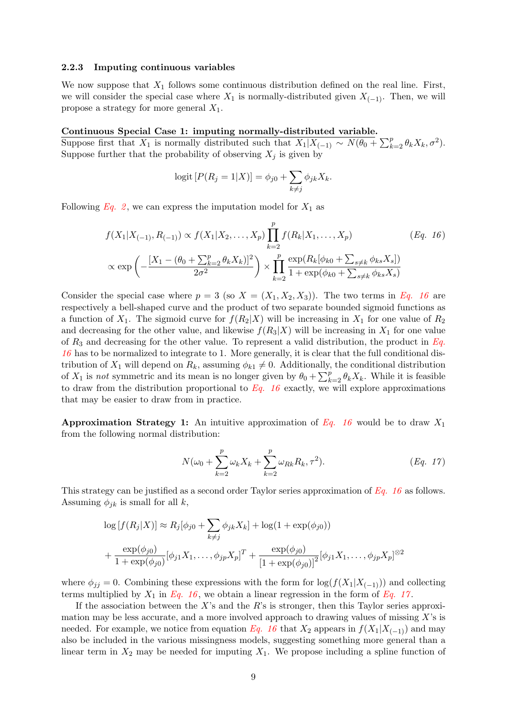#### 2.2.3 Imputing continuous variables

We now suppose that  $X_1$  follows some continuous distribution defined on the real line. First, we will consider the special case where  $X_1$  is normally-distributed given  $X_{(-1)}$ . Then, we will propose a strategy for more general  $X_1$ .

#### Continuous Special Case 1: imputing normally-distributed variable.

Suppose first that  $X_1$  is normally distributed such that  $X_1|X_{(-1)} \sim N(\theta_0 + \sum_{k=2}^p \theta_k X_k, \sigma^2)$ . Suppose further that the probability of observing  $X_i$  is given by

<span id="page-8-0"></span>logit 
$$
[P(R_j = 1|X)] = \phi_{j0} + \sum_{k \neq j} \phi_{jk} X_k
$$
.

Following [Eq. 2](#page-3-1), we can express the imputation model for  $X_1$  as

$$
f(X_1|X_{(-1)}, R_{(-1)}) \propto f(X_1|X_2, \dots, X_p) \prod_{k=2}^p f(R_k|X_1, \dots, X_p)
$$
 (Eq. 16)  

$$
\propto \exp\left(-\frac{[X_1 - (\theta_0 + \sum_{k=2}^p \theta_k X_k)]^2}{2\sigma^2}\right) \times \prod_{k=2}^p \frac{\exp(R_k[\phi_{k0} + \sum_{s \neq k} \phi_{ks} X_s])}{1 + \exp(\phi_{k0} + \sum_{s \neq k} \phi_{ks} X_s)}
$$

Consider the special case where  $p = 3$  (so  $X = (X_1, X_2, X_3)$ ). The two terms in [Eq. 16](#page-8-0) are respectively a bell-shaped curve and the product of two separate bounded sigmoid functions as a function of  $X_1$ . The sigmoid curve for  $f(R_2|X)$  will be increasing in  $X_1$  for one value of  $R_2$ and decreasing for the other value, and likewise  $f(R_3|X)$  will be increasing in  $X_1$  for one value of  $R_3$  and decreasing for the other value. To represent a valid distribution, the product in  $Eq.$ [16](#page-8-0) has to be normalized to integrate to 1. More generally, it is clear that the full conditional distribution of  $X_1$  will depend on  $R_k$ , assuming  $\phi_{k1} \neq 0$ . Additionally, the conditional distribution of  $X_1$  is not symmetric and its mean is no longer given by  $\theta_0 + \sum_{k=2}^p \theta_k X_k$ . While it is feasible to draw from the distribution proportional to  $Eq. 16$  exactly, we will explore approximations that may be easier to draw from in practice.

Approximation Strategy 1: An intuitive approximation of [Eq. 16](#page-8-0) would be to draw  $X_1$ from the following normal distribution:

<span id="page-8-1"></span>
$$
N(\omega_0 + \sum_{k=2}^{p} \omega_k X_k + \sum_{k=2}^{p} \omega_{Rk} R_k, \tau^2).
$$
 (Eq. 17)

This strategy can be justified as a second order Taylor series approximation of [Eq. 16](#page-8-0) as follows. Assuming  $\phi_{ik}$  is small for all k,

$$
\log [f(R_j|X)] \approx R_j[\phi_{j0} + \sum_{k \neq j} \phi_{jk} X_k] + \log(1 + \exp(\phi_{j0}))
$$
  
+ 
$$
\frac{\exp(\phi_{j0})}{1 + \exp(\phi_{j0})} [\phi_{j1} X_1, \dots, \phi_{jp} X_p]^T + \frac{\exp(\phi_{j0})}{[1 + \exp(\phi_{j0})]^2} [\phi_{j1} X_1, \dots, \phi_{jp} X_p]^{\otimes 2}
$$

where  $\phi_{jj} = 0$ . Combining these expressions with the form for  $\log(f(X_1|X_{(-1)}))$  and collecting terms multiplied by  $X_1$  in [Eq. 16](#page-8-0), we obtain a linear regression in the form of [Eq. 17](#page-8-1).

If the association between the X's and the R's is stronger, then this Taylor series approximation may be less accurate, and a more involved approach to drawing values of missing  $X$ 's is needed. For example, we notice from equation [Eq. 16](#page-8-0) that  $X_2$  appears in  $f(X_1|X_{(-1)})$  and may also be included in the various missingness models, suggesting something more general than a linear term in  $X_2$  may be needed for imputing  $X_1$ . We propose including a spline function of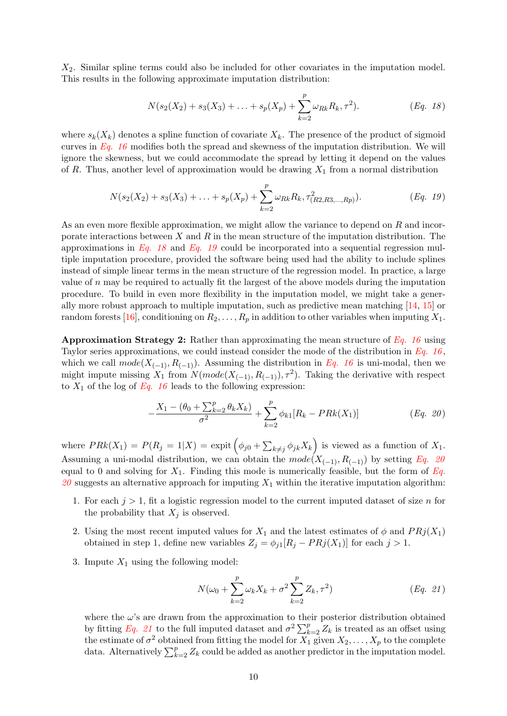$X_2$ . Similar spline terms could also be included for other covariates in the imputation model. This results in the following approximate imputation distribution:

<span id="page-9-1"></span><span id="page-9-0"></span>
$$
N(s_2(X_2) + s_3(X_3) + \ldots + s_p(X_p) + \sum_{k=2}^p \omega_{Rk} R_k, \tau^2).
$$
 (Eq. 18)

where  $s_k(X_k)$  denotes a spline function of covariate  $X_k$ . The presence of the product of sigmoid curves in [Eq. 16](#page-8-0) modifies both the spread and skewness of the imputation distribution. We will ignore the skewness, but we could accommodate the spread by letting it depend on the values of R. Thus, another level of approximation would be drawing  $X_1$  from a normal distribution

$$
N(s_2(X_2) + s_3(X_3) + \ldots + s_p(X_p) + \sum_{k=2}^p \omega_{Rk} R_k, \tau^2_{(R2,R3,\ldots,Rp)}).
$$
 (Eq. 19)

As an even more flexible approximation, we might allow the variance to depend on R and incorporate interactions between  $X$  and  $R$  in the mean structure of the imputation distribution. The approximations in [Eq. 18](#page-9-0) and [Eq. 19](#page-9-1) could be incorporated into a sequential regression multiple imputation procedure, provided the software being used had the ability to include splines instead of simple linear terms in the mean structure of the regression model. In practice, a large value of  $n$  may be required to actually fit the largest of the above models during the imputation procedure. To build in even more flexibility in the imputation model, we might take a generally more robust approach to multiple imputation, such as predictive mean matching [\[14,](#page-18-11) [15\]](#page-18-12) or random forests [\[16\]](#page-18-13), conditioning on  $R_2, \ldots, R_p$  in addition to other variables when imputing  $X_1$ .

**Approximation Strategy 2:** Rather than approximating the mean structure of  $Eq. 16$  using Taylor series approximations, we could instead consider the mode of the distribution in  $Eq. 16$ , which we call  $mode(X_{(-1)}, R_{(-1)})$ . Assuming the distribution in [Eq. 16](#page-8-0) is uni-modal, then we might impute missing  $X_1$  from  $N(model(X_{(-1)}, R_{(-1)}), \tau^2)$ . Taking the derivative with respect to  $X_1$  of the log of [Eq. 16](#page-8-0) leads to the following expression:

<span id="page-9-2"></span>
$$
-\frac{X_1 - (\theta_0 + \sum_{k=2}^p \theta_k X_k)}{\sigma^2} + \sum_{k=2}^p \phi_{k1}[R_k - PRk(X_1)] \qquad (Eq. 20)
$$

where  $PRk(X_1) = P(R_j = 1|X) = \text{expit}(\phi_{j0} + \sum_{k \neq j} \phi_{jk} X_k)$  is viewed as a function of  $X_1$ . Assuming a uni-modal distribution, we can obtain the  $mode(X_{(-1)}, R_{(-1)})$  by setting [Eq. 20](#page-9-2) equal to 0 and solving for  $X_1$ . Finding this mode is numerically feasible, but the form of [Eq.](#page-9-2) [20](#page-9-2) suggests an alternative approach for imputing  $X_1$  within the iterative imputation algorithm:

- 1. For each  $j > 1$ , fit a logistic regression model to the current imputed dataset of size n for the probability that  $X_j$  is observed.
- 2. Using the most recent imputed values for  $X_1$  and the latest estimates of  $\phi$  and  $PRj(X_1)$ obtained in step 1, define new variables  $Z_j = \phi_{j1}[R_j - PR_j(X_1)]$  for each  $j > 1$ .
- 3. Impute  $X_1$  using the following model:

<span id="page-9-3"></span>
$$
N(\omega_0 + \sum_{k=2}^{p} \omega_k X_k + \sigma^2 \sum_{k=2}^{p} Z_k, \tau^2)
$$
 (Eq. 21)

where the  $\omega$ 's are drawn from the approximation to their posterior distribution obtained by fitting [Eq. 21](#page-9-3) to the full imputed dataset and  $\sigma^2 \sum_{k=2}^p Z_k$  is treated as an offset using the estimate of  $\sigma^2$  obtained from fitting the model for  $X_1$  given  $X_2, \ldots, X_p$  to the complete data. Alternatively  $\sum_{k=2}^{p} Z_k$  could be added as another predictor in the imputation model.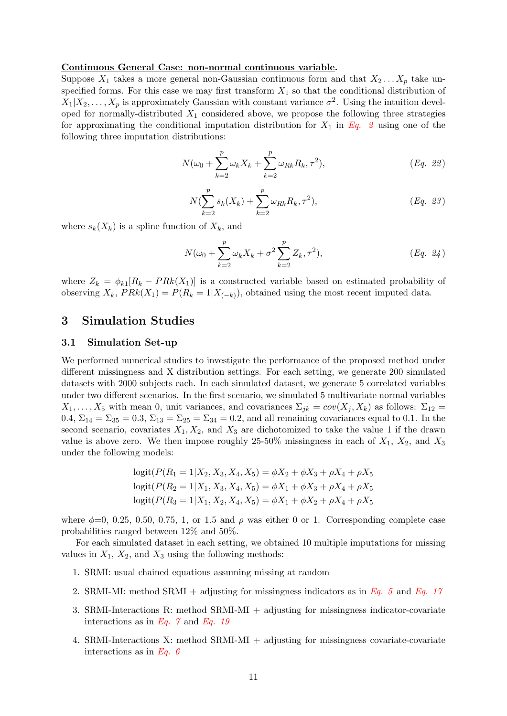#### Continuous General Case: non-normal continuous variable.

Suppose  $X_1$  takes a more general non-Gaussian continuous form and that  $X_2 \ldots X_p$  take unspecified forms. For this case we may first transform  $X_1$  so that the conditional distribution of  $X_1|X_2,\ldots,X_p$  is approximately Gaussian with constant variance  $\sigma^2$ . Using the intuition developed for normally-distributed  $X_1$  considered above, we propose the following three strategies for approximating the conditional imputation distribution for  $X_1$  in [Eq. 2](#page-3-1) using one of the following three imputation distributions:

$$
N(\omega_0 + \sum_{k=2}^{p} \omega_k X_k + \sum_{k=2}^{p} \omega_{Rk} R_k, \tau^2), \qquad (Eq. 22)
$$

$$
N(\sum_{k=2}^{p} s_k(X_k) + \sum_{k=2}^{p} \omega_{Rk} R_k, \tau^2),
$$
 (Eq. 23)

where  $s_k(X_k)$  is a spline function of  $X_k$ , and

$$
N(\omega_0 + \sum_{k=2}^{p} \omega_k X_k + \sigma^2 \sum_{k=2}^{p} Z_k, \tau^2), \qquad (Eq. 24)
$$

where  $Z_k = \phi_{k1}[R_k - PRk(X_1)]$  is a constructed variable based on estimated probability of observing  $X_k$ ,  $PRk(X_1) = P(R_k = 1 | X_{(-k)})$ , obtained using the most recent imputed data.

## 3 Simulation Studies

#### 3.1 Simulation Set-up

We performed numerical studies to investigate the performance of the proposed method under different missingness and X distribution settings. For each setting, we generate 200 simulated datasets with 2000 subjects each. In each simulated dataset, we generate 5 correlated variables under two different scenarios. In the first scenario, we simulated 5 multivariate normal variables  $X_1, \ldots, X_5$  with mean 0, unit variances, and covariances  $\Sigma_{ik} = cov(X_i, X_k)$  as follows:  $\Sigma_{12} =$ 0.4,  $\Sigma_{14} = \Sigma_{35} = 0.3$ ,  $\Sigma_{13} = \Sigma_{25} = \Sigma_{34} = 0.2$ , and all remaining covariances equal to 0.1. In the second scenario, covariates  $X_1, X_2$ , and  $X_3$  are dichotomized to take the value 1 if the drawn value is above zero. We then impose roughly 25-50% missingness in each of  $X_1$ ,  $X_2$ , and  $X_3$ under the following models:

$$
logit(P(R_1 = 1 | X_2, X_3, X_4, X_5) = \phi X_2 + \phi X_3 + \rho X_4 + \rho X_5
$$
  

$$
logit(P(R_2 = 1 | X_1, X_3, X_4, X_5) = \phi X_1 + \phi X_3 + \rho X_4 + \rho X_5
$$
  

$$
logit(P(R_3 = 1 | X_1, X_2, X_4, X_5) = \phi X_1 + \phi X_2 + \rho X_4 + \rho X_5
$$

where  $\phi=0$ , 0.25, 0.50, 0.75, 1, or 1.5 and  $\rho$  was either 0 or 1. Corresponding complete case probabilities ranged between 12% and 50%.

For each simulated dataset in each setting, we obtained 10 multiple imputations for missing values in  $X_1$ ,  $X_2$ , and  $X_3$  using the following methods:

- 1. SRMI: usual chained equations assuming missing at random
- 2. SRMI-MI: method SRMI + adjusting for missingness indicators as in [Eq. 5](#page-5-0) and [Eq. 17](#page-8-1)
- 3. SRMI-Interactions R: method SRMI-MI + adjusting for missingness indicator-covariate interactions as in Eq.  $\gamma$  and [Eq. 19](#page-9-1)
- 4. SRMI-Interactions X: method SRMI-MI + adjusting for missingness covariate-covariate interactions as in Eq.  $\theta$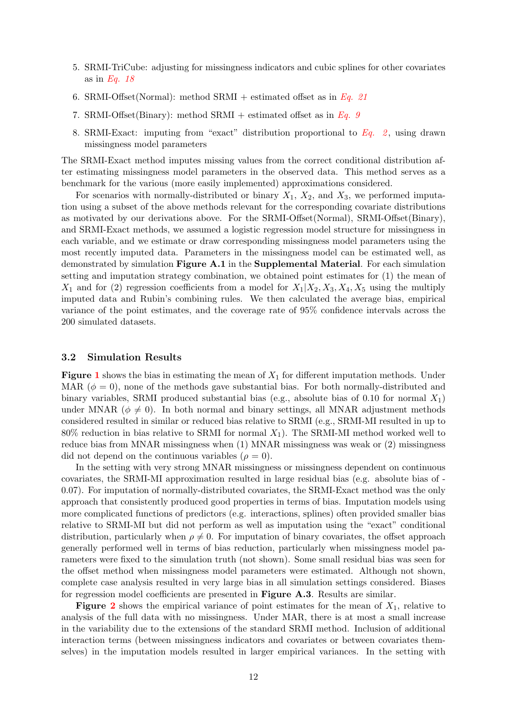- 5. SRMI-TriCube: adjusting for missingness indicators and cubic splines for other covariates as in [Eq. 18](#page-9-0)
- 6. SRMI-Offset(Normal): method SRMI + estimated offset as in [Eq. 21](#page-9-3)
- 7. SRMI-Offset(Binary): method SRMI + estimated offset as in [Eq. 9](#page-6-0)
- 8. SRMI-Exact: imputing from "exact" distribution proportional to  $Eq. 2$ , using drawn missingness model parameters

The SRMI-Exact method imputes missing values from the correct conditional distribution after estimating missingness model parameters in the observed data. This method serves as a benchmark for the various (more easily implemented) approximations considered.

For scenarios with normally-distributed or binary  $X_1$ ,  $X_2$ , and  $X_3$ , we performed imputation using a subset of the above methods relevant for the corresponding covariate distributions as motivated by our derivations above. For the SRMI-Offset(Normal), SRMI-Offset(Binary), and SRMI-Exact methods, we assumed a logistic regression model structure for missingness in each variable, and we estimate or draw corresponding missingness model parameters using the most recently imputed data. Parameters in the missingness model can be estimated well, as demonstrated by simulation Figure A.1 in the Supplemental Material. For each simulation setting and imputation strategy combination, we obtained point estimates for (1) the mean of  $X_1$  and for (2) regression coefficients from a model for  $X_1|X_2, X_3, X_4, X_5$  using the multiply imputed data and Rubin's combining rules. We then calculated the average bias, empirical variance of the point estimates, and the coverage rate of 95% confidence intervals across the 200 simulated datasets.

#### 3.2 Simulation Results

**Figure [1](#page-12-0)** shows the bias in estimating the mean of  $X_1$  for different imputation methods. Under MAR  $(\phi = 0)$ , none of the methods gave substantial bias. For both normally-distributed and binary variables, SRMI produced substantial bias (e.g., absolute bias of 0.10 for normal  $X_1$ ) under MNAR ( $\phi \neq 0$ ). In both normal and binary settings, all MNAR adjustment methods considered resulted in similar or reduced bias relative to SRMI (e.g., SRMI-MI resulted in up to 80% reduction in bias relative to SRMI for normal  $X_1$ ). The SRMI-MI method worked well to reduce bias from MNAR missingness when (1) MNAR missingness was weak or (2) missingness did not depend on the continuous variables  $(\rho = 0)$ .

In the setting with very strong MNAR missingness or missingness dependent on continuous covariates, the SRMI-MI approximation resulted in large residual bias (e.g. absolute bias of - 0.07). For imputation of normally-distributed covariates, the SRMI-Exact method was the only approach that consistently produced good properties in terms of bias. Imputation models using more complicated functions of predictors (e.g. interactions, splines) often provided smaller bias relative to SRMI-MI but did not perform as well as imputation using the "exact" conditional distribution, particularly when  $\rho \neq 0$ . For imputation of binary covariates, the offset approach generally performed well in terms of bias reduction, particularly when missingness model parameters were fixed to the simulation truth (not shown). Some small residual bias was seen for the offset method when missingness model parameters were estimated. Although not shown, complete case analysis resulted in very large bias in all simulation settings considered. Biases for regression model coefficients are presented in Figure A.3. Results are similar.

**Figure [2](#page-13-0)** shows the empirical variance of point estimates for the mean of  $X_1$ , relative to analysis of the full data with no missingness. Under MAR, there is at most a small increase in the variability due to the extensions of the standard SRMI method. Inclusion of additional interaction terms (between missingness indicators and covariates or between covariates themselves) in the imputation models resulted in larger empirical variances. In the setting with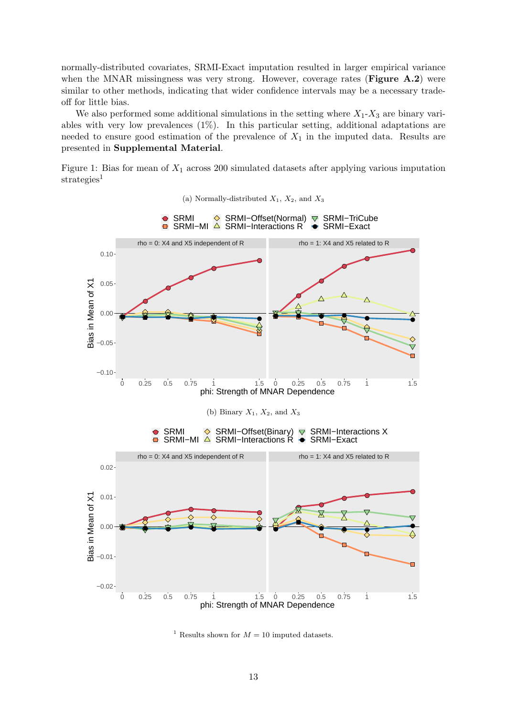normally-distributed covariates, SRMI-Exact imputation resulted in larger empirical variance when the MNAR missingness was very strong. However, coverage rates (Figure A.2) were similar to other methods, indicating that wider confidence intervals may be a necessary tradeoff for little bias.

We also performed some additional simulations in the setting where  $X_1$ - $X_3$  are binary variables with very low prevalences (1%). In this particular setting, additional adaptations are needed to ensure good estimation of the prevalence of  $X_1$  in the imputed data. Results are presented in Supplemental Material.

Figure 1: Bias for mean of  $X_1$  across 200 simulated datasets after applying various imputation strategies<sup>1</sup>

<span id="page-12-0"></span>

<sup>1</sup> Results shown for  $M = 10$  imputed datasets.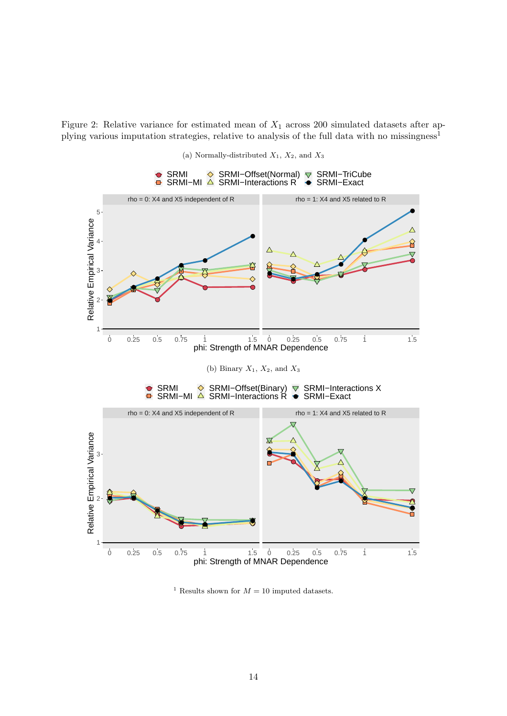Figure 2: Relative variance for estimated mean of  $X_1$  across 200 simulated datasets after applying various imputation strategies, relative to analysis of the full data with no missingness<sup>1</sup>

<span id="page-13-0"></span>

(a) Normally-distributed  $X_1, X_2,$  and  $X_3$ 

<sup>1</sup> Results shown for  $M = 10$  imputed datasets.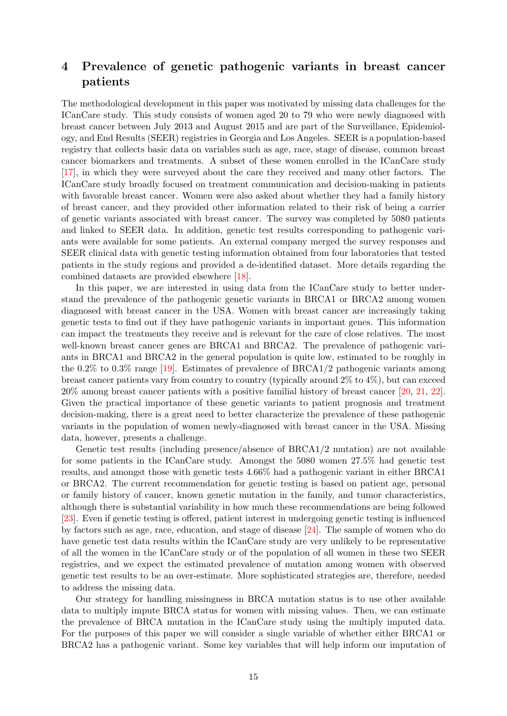# 4 Prevalence of genetic pathogenic variants in breast cancer patients

The methodological development in this paper was motivated by missing data challenges for the ICanCare study. This study consists of women aged 20 to 79 who were newly diagnosed with breast cancer between July 2013 and August 2015 and are part of the Surveillance, Epidemiology, and End Results (SEER) registries in Georgia and Los Angeles. SEER is a population-based registry that collects basic data on variables such as age, race, stage of disease, common breast cancer biomarkers and treatments. A subset of these women enrolled in the ICanCare study [\[17\]](#page-18-14), in which they were surveyed about the care they received and many other factors. The ICanCare study broadly focused on treatment communication and decision-making in patients with favorable breast cancer. Women were also asked about whether they had a family history of breast cancer, and they provided other information related to their risk of being a carrier of genetic variants associated with breast cancer. The survey was completed by 5080 patients and linked to SEER data. In addition, genetic test results corresponding to pathogenic variants were available for some patients. An external company merged the survey responses and SEER clinical data with genetic testing information obtained from four laboratories that tested patients in the study regions and provided a de-identified dataset. More details regarding the combined datasets are provided elsewhere [\[18\]](#page-18-15).

In this paper, we are interested in using data from the ICanCare study to better understand the prevalence of the pathogenic genetic variants in BRCA1 or BRCA2 among women diagnosed with breast cancer in the USA. Women with breast cancer are increasingly taking genetic tests to find out if they have pathogenic variants in important genes. This information can impact the treatments they receive and is relevant for the care of close relatives. The most well-known breast cancer genes are BRCA1 and BRCA2. The prevalence of pathogenic variants in BRCA1 and BRCA2 in the general population is quite low, estimated to be roughly in the 0.2% to 0.3% range [\[19\]](#page-19-0). Estimates of prevalence of BRCA1/2 pathogenic variants among breast cancer patients vary from country to country (typically around 2% to 4%), but can exceed 20% among breast cancer patients with a positive familial history of breast cancer [\[20,](#page-19-1) [21,](#page-19-2) [22\]](#page-19-3). Given the practical importance of these genetic variants to patient prognosis and treatment decision-making, there is a great need to better characterize the prevalence of these pathogenic variants in the population of women newly-diagnosed with breast cancer in the USA. Missing data, however, presents a challenge.

Genetic test results (including presence/absence of BRCA1/2 mutation) are not available for some patients in the ICanCare study. Amongst the 5080 women 27.5% had genetic test results, and amongst those with genetic tests 4.66% had a pathogenic variant in either BRCA1 or BRCA2. The current recommendation for genetic testing is based on patient age, personal or family history of cancer, known genetic mutation in the family, and tumor characteristics, although there is substantial variability in how much these recommendations are being followed [\[23\]](#page-19-4). Even if genetic testing is offered, patient interest in undergoing genetic testing is influenced by factors such as age, race, education, and stage of disease [\[24\]](#page-19-5). The sample of women who do have genetic test data results within the ICanCare study are very unlikely to be representative of all the women in the ICanCare study or of the population of all women in these two SEER registries, and we expect the estimated prevalence of mutation among women with observed genetic test results to be an over-estimate. More sophisticated strategies are, therefore, needed to address the missing data.

Our strategy for handling missingness in BRCA mutation status is to use other available data to multiply impute BRCA status for women with missing values. Then, we can estimate the prevalence of BRCA mutation in the ICanCare study using the multiply imputed data. For the purposes of this paper we will consider a single variable of whether either BRCA1 or BRCA2 has a pathogenic variant. Some key variables that will help inform our imputation of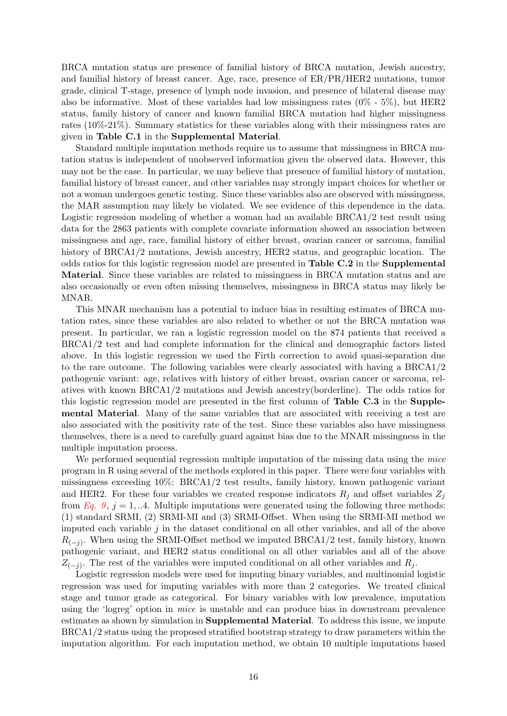BRCA mutation status are presence of familial history of BRCA mutation, Jewish ancestry, and familial history of breast cancer. Age, race, presence of ER/PR/HER2 mutations, tumor grade, clinical T-stage, presence of lymph node invasion, and presence of bilateral disease may also be informative. Most of these variables had low missingness rates  $(0\% - 5\%)$ , but HER2 status, family history of cancer and known familial BRCA mutation had higher missingness rates (10%-21%). Summary statistics for these variables along with their missingness rates are given in Table C.1 in the Supplemental Material.

Standard multiple imputation methods require us to assume that missingness in BRCA mutation status is independent of unobserved information given the observed data. However, this may not be the case. In particular, we may believe that presence of familial history of mutation, familial history of breast cancer, and other variables may strongly impact choices for whether or not a woman undergoes genetic testing. Since these variables also are observed with missingness, the MAR assumption may likely be violated. We see evidence of this dependence in the data. Logistic regression modeling of whether a woman had an available BRCA1/2 test result using data for the 2863 patients with complete covariate information showed an association between missingness and age, race, familial history of either breast, ovarian cancer or sarcoma, familial history of BRCA1/2 mutations, Jewish ancestry, HER2 status, and geographic location. The odds ratios for this logistic regression model are presented in Table C.2 in the Supplemental Material. Since these variables are related to missingness in BRCA mutation status and are also occasionally or even often missing themselves, missingness in BRCA status may likely be MNAR.

This MNAR mechanism has a potential to induce bias in resulting estimates of BRCA mutation rates, since these variables are also related to whether or not the BRCA mutation was present. In particular, we ran a logistic regression model on the 874 patients that received a BRCA1/2 test and had complete information for the clinical and demographic factors listed above. In this logistic regression we used the Firth correction to avoid quasi-separation due to the rare outcome. The following variables were clearly associated with having a BRCA1/2 pathogenic variant: age, relatives with history of either breast, ovarian cancer or sarcoma, relatives with known BRCA1/2 mutations and Jewish ancestry(borderline). The odds ratios for this logistic regression model are presented in the first column of Table C.3 in the Supplemental Material. Many of the same variables that are associated with receiving a test are also associated with the positivity rate of the test. Since these variables also have missingness themselves, there is a need to carefully guard against bias due to the MNAR missingness in the multiple imputation process.

We performed sequential regression multiple imputation of the missing data using the mice program in R using several of the methods explored in this paper. There were four variables with missingness exceeding 10%: BRCA1/2 test results, family history, known pathogenic variant and HER2. For these four variables we created response indicators  $R_i$  and offset variables  $Z_i$ from [Eq. 9](#page-6-0),  $j = 1, ...4$ . Multiple imputations were generated using the following three methods: (1) standard SRMI, (2) SRMI-MI and (3) SRMI-Offset. When using the SRMI-MI method we imputed each variable  $j$  in the dataset conditional on all other variables, and all of the above  $R_{(-j)}$ . When using the SRMI-Offset method we imputed BRCA1/2 test, family history, known pathogenic variant, and HER2 status conditional on all other variables and all of the above  $Z_{(-j)}$ . The rest of the variables were imputed conditional on all other variables and  $R_j$ .

Logistic regression models were used for imputing binary variables, and multinomial logistic regression was used for imputing variables with more than 2 categories. We treated clinical stage and tumor grade as categorical. For binary variables with low prevalence, imputation using the 'logreg' option in mice is unstable and can produce bias in downstream prevalence estimates as shown by simulation in Supplemental Material. To address this issue, we impute BRCA1/2 status using the proposed stratified bootstrap strategy to draw parameters within the imputation algorithm. For each imputation method, we obtain 10 multiple imputations based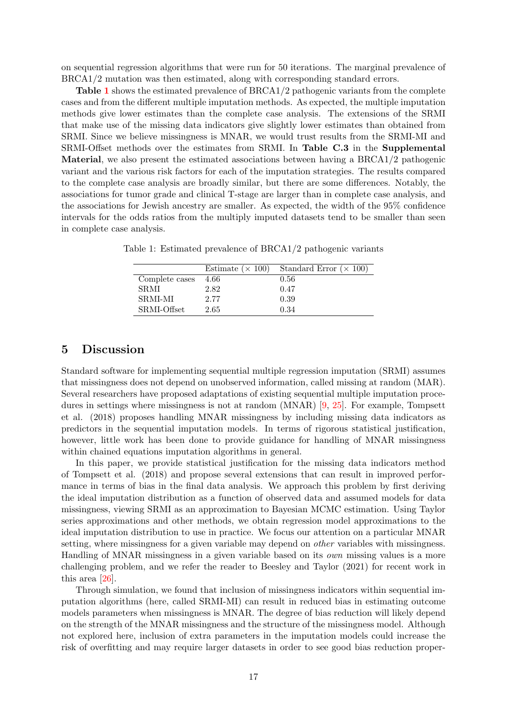on sequential regression algorithms that were run for 50 iterations. The marginal prevalence of BRCA1/2 mutation was then estimated, along with corresponding standard errors.

Table [1](#page-16-0) shows the estimated prevalence of BRCA1/2 pathogenic variants from the complete cases and from the different multiple imputation methods. As expected, the multiple imputation methods give lower estimates than the complete case analysis. The extensions of the SRMI that make use of the missing data indicators give slightly lower estimates than obtained from SRMI. Since we believe missingness is MNAR, we would trust results from the SRMI-MI and SRMI-Offset methods over the estimates from SRMI. In Table C.3 in the Supplemental Material, we also present the estimated associations between having a BRCA1/2 pathogenic variant and the various risk factors for each of the imputation strategies. The results compared to the complete case analysis are broadly similar, but there are some differences. Notably, the associations for tumor grade and clinical T-stage are larger than in complete case analysis, and the associations for Jewish ancestry are smaller. As expected, the width of the 95% confidence intervals for the odds ratios from the multiply imputed datasets tend to be smaller than seen in complete case analysis.

|                | Estimate ( $\times$ 100) | Standard Error $(\times 100)$ |
|----------------|--------------------------|-------------------------------|
| Complete cases | 4.66                     | 0.56                          |
| <b>SRMI</b>    | 2.82                     | 0.47                          |
| <b>SRMI-MI</b> | 2.77                     | 0.39                          |
| SRMI-Offset    | 2.65                     | 0.34                          |

<span id="page-16-0"></span>Table 1: Estimated prevalence of BRCA1/2 pathogenic variants

## 5 Discussion

Standard software for implementing sequential multiple regression imputation (SRMI) assumes that missingness does not depend on unobserved information, called missing at random (MAR). Several researchers have proposed adaptations of existing sequential multiple imputation procedures in settings where missingness is not at random (MNAR) [\[9,](#page-18-6) [25\]](#page-19-6). For example, Tompsett et al. (2018) proposes handling MNAR missingness by including missing data indicators as predictors in the sequential imputation models. In terms of rigorous statistical justification, however, little work has been done to provide guidance for handling of MNAR missingness within chained equations imputation algorithms in general.

In this paper, we provide statistical justification for the missing data indicators method of Tompsett et al. (2018) and propose several extensions that can result in improved performance in terms of bias in the final data analysis. We approach this problem by first deriving the ideal imputation distribution as a function of observed data and assumed models for data missingness, viewing SRMI as an approximation to Bayesian MCMC estimation. Using Taylor series approximations and other methods, we obtain regression model approximations to the ideal imputation distribution to use in practice. We focus our attention on a particular MNAR setting, where missingness for a given variable may depend on *other* variables with missingness. Handling of MNAR missingness in a given variable based on its own missing values is a more challenging problem, and we refer the reader to Beesley and Taylor (2021) for recent work in this area [\[26\]](#page-19-7).

Through simulation, we found that inclusion of missingness indicators within sequential imputation algorithms (here, called SRMI-MI) can result in reduced bias in estimating outcome models parameters when missingness is MNAR. The degree of bias reduction will likely depend on the strength of the MNAR missingness and the structure of the missingness model. Although not explored here, inclusion of extra parameters in the imputation models could increase the risk of overfitting and may require larger datasets in order to see good bias reduction proper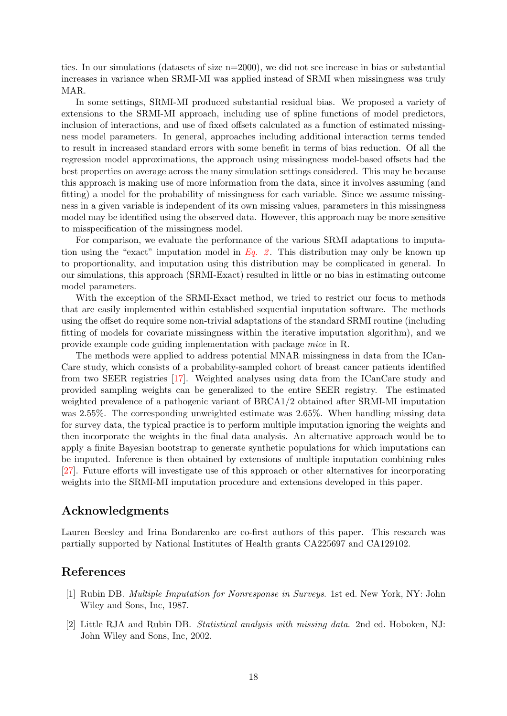ties. In our simulations (datasets of size  $n=2000$ ), we did not see increase in bias or substantial increases in variance when SRMI-MI was applied instead of SRMI when missingness was truly MAR.

In some settings, SRMI-MI produced substantial residual bias. We proposed a variety of extensions to the SRMI-MI approach, including use of spline functions of model predictors, inclusion of interactions, and use of fixed offsets calculated as a function of estimated missingness model parameters. In general, approaches including additional interaction terms tended to result in increased standard errors with some benefit in terms of bias reduction. Of all the regression model approximations, the approach using missingness model-based offsets had the best properties on average across the many simulation settings considered. This may be because this approach is making use of more information from the data, since it involves assuming (and fitting) a model for the probability of missingness for each variable. Since we assume missingness in a given variable is independent of its own missing values, parameters in this missingness model may be identified using the observed data. However, this approach may be more sensitive to misspecification of the missingness model.

For comparison, we evaluate the performance of the various SRMI adaptations to imputation using the "exact" imputation model in  $Eq. 2$ . This distribution may only be known up to proportionality, and imputation using this distribution may be complicated in general. In our simulations, this approach (SRMI-Exact) resulted in little or no bias in estimating outcome model parameters.

With the exception of the SRMI-Exact method, we tried to restrict our focus to methods that are easily implemented within established sequential imputation software. The methods using the offset do require some non-trivial adaptations of the standard SRMI routine (including fitting of models for covariate missingness within the iterative imputation algorithm), and we provide example code guiding implementation with package mice in R.

The methods were applied to address potential MNAR missingness in data from the ICan-Care study, which consists of a probability-sampled cohort of breast cancer patients identified from two SEER registries [\[17\]](#page-18-14). Weighted analyses using data from the ICanCare study and provided sampling weights can be generalized to the entire SEER registry. The estimated weighted prevalence of a pathogenic variant of BRCA1/2 obtained after SRMI-MI imputation was 2.55%. The corresponding unweighted estimate was 2.65%. When handling missing data for survey data, the typical practice is to perform multiple imputation ignoring the weights and then incorporate the weights in the final data analysis. An alternative approach would be to apply a finite Bayesian bootstrap to generate synthetic populations for which imputations can be imputed. Inference is then obtained by extensions of multiple imputation combining rules [\[27\]](#page-19-8). Future efforts will investigate use of this approach or other alternatives for incorporating weights into the SRMI-MI imputation procedure and extensions developed in this paper.

## Acknowledgments

Lauren Beesley and Irina Bondarenko are co-first authors of this paper. This research was partially supported by National Institutes of Health grants CA225697 and CA129102.

### References

- <span id="page-17-0"></span>[1] Rubin DB. Multiple Imputation for Nonresponse in Surveys. 1st ed. New York, NY: John Wiley and Sons, Inc, 1987.
- <span id="page-17-1"></span>[2] Little RJA and Rubin DB. Statistical analysis with missing data. 2nd ed. Hoboken, NJ: John Wiley and Sons, Inc, 2002.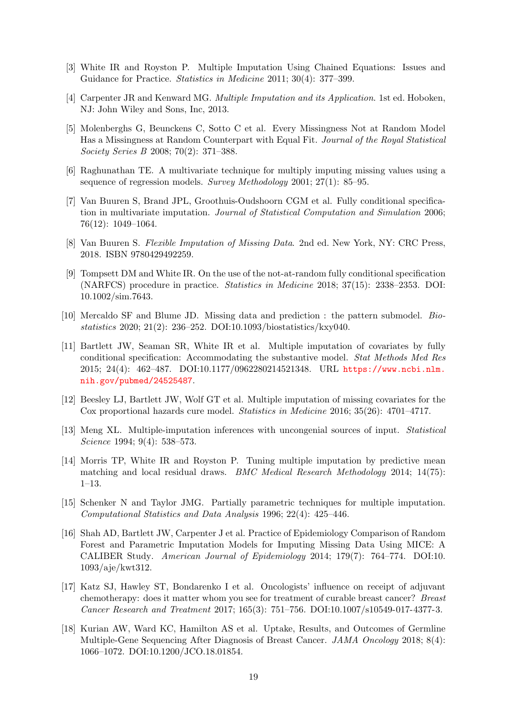- <span id="page-18-0"></span>[3] White IR and Royston P. Multiple Imputation Using Chained Equations: Issues and Guidance for Practice. Statistics in Medicine 2011; 30(4): 377–399.
- <span id="page-18-1"></span>[4] Carpenter JR and Kenward MG. Multiple Imputation and its Application. 1st ed. Hoboken, NJ: John Wiley and Sons, Inc, 2013.
- <span id="page-18-2"></span>[5] Molenberghs G, Beunckens C, Sotto C et al. Every Missingness Not at Random Model Has a Missingness at Random Counterpart with Equal Fit. Journal of the Royal Statistical Society Series B 2008; 70(2): 371–388.
- <span id="page-18-3"></span>[6] Raghunathan TE. A multivariate technique for multiply imputing missing values using a sequence of regression models. Survey Methodology 2001; 27(1): 85–95.
- <span id="page-18-4"></span>[7] Van Buuren S, Brand JPL, Groothuis-Oudshoorn CGM et al. Fully conditional specification in multivariate imputation. Journal of Statistical Computation and Simulation 2006; 76(12): 1049–1064.
- <span id="page-18-5"></span>[8] Van Buuren S. Flexible Imputation of Missing Data. 2nd ed. New York, NY: CRC Press, 2018. ISBN 9780429492259.
- <span id="page-18-6"></span>[9] Tompsett DM and White IR. On the use of the not-at-random fully conditional specification (NARFCS) procedure in practice. Statistics in Medicine 2018; 37(15): 2338–2353. DOI: 10.1002/sim.7643.
- <span id="page-18-7"></span>[10] Mercaldo SF and Blume JD. Missing data and prediction : the pattern submodel. Biostatistics 2020; 21(2): 236–252. DOI:10.1093/biostatistics/kxy040.
- <span id="page-18-8"></span>[11] Bartlett JW, Seaman SR, White IR et al. Multiple imputation of covariates by fully conditional specification: Accommodating the substantive model. Stat Methods Med Res 2015; 24(4): 462–487. DOI:10.1177/0962280214521348. URL [https://www.ncbi.nlm.](https://www.ncbi.nlm.nih.gov/pubmed/24525487) [nih.gov/pubmed/24525487](https://www.ncbi.nlm.nih.gov/pubmed/24525487).
- <span id="page-18-9"></span>[12] Beesley LJ, Bartlett JW, Wolf GT et al. Multiple imputation of missing covariates for the Cox proportional hazards cure model. Statistics in Medicine 2016; 35(26): 4701–4717.
- <span id="page-18-10"></span>[13] Meng XL. Multiple-imputation inferences with uncongenial sources of input. Statistical Science 1994; 9(4): 538–573.
- <span id="page-18-11"></span>[14] Morris TP, White IR and Royston P. Tuning multiple imputation by predictive mean matching and local residual draws. BMC Medical Research Methodology 2014; 14(75): 1–13.
- <span id="page-18-12"></span>[15] Schenker N and Taylor JMG. Partially parametric techniques for multiple imputation. Computational Statistics and Data Analysis 1996; 22(4): 425–446.
- <span id="page-18-13"></span>[16] Shah AD, Bartlett JW, Carpenter J et al. Practice of Epidemiology Comparison of Random Forest and Parametric Imputation Models for Imputing Missing Data Using MICE: A CALIBER Study. American Journal of Epidemiology 2014; 179(7): 764–774. DOI:10. 1093/aje/kwt312.
- <span id="page-18-14"></span>[17] Katz SJ, Hawley ST, Bondarenko I et al. Oncologists' influence on receipt of adjuvant chemotherapy: does it matter whom you see for treatment of curable breast cancer? Breast Cancer Research and Treatment 2017; 165(3): 751–756. DOI:10.1007/s10549-017-4377-3.
- <span id="page-18-15"></span>[18] Kurian AW, Ward KC, Hamilton AS et al. Uptake, Results, and Outcomes of Germline Multiple-Gene Sequencing After Diagnosis of Breast Cancer. JAMA Oncology 2018; 8(4): 1066–1072. DOI:10.1200/JCO.18.01854.